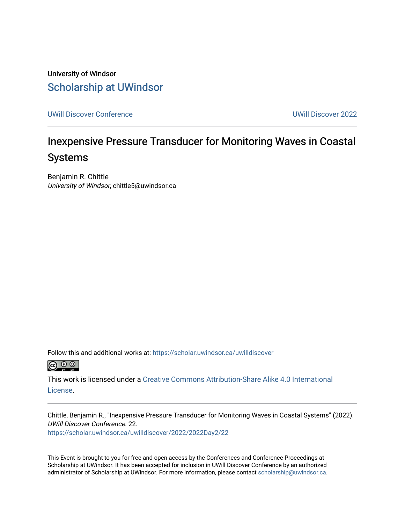University of Windsor [Scholarship at UWindsor](https://scholar.uwindsor.ca/) 

[UWill Discover Conference](https://scholar.uwindsor.ca/uwilldiscover) [UWill Discover 2022](https://scholar.uwindsor.ca/uwilldiscover/2022) 

### Inexpensive Pressure Transducer for Monitoring Waves in Coastal Systems

Benjamin R. Chittle University of Windsor, chittle5@uwindsor.ca

Follow this and additional works at: [https://scholar.uwindsor.ca/uwilldiscover](https://scholar.uwindsor.ca/uwilldiscover?utm_source=scholar.uwindsor.ca%2Fuwilldiscover%2F2022%2F2022Day2%2F22&utm_medium=PDF&utm_campaign=PDFCoverPages) 



This work is licensed under a [Creative Commons Attribution-Share Alike 4.0 International](https://creativecommons.org/licenses/by-sa/4.0/) [License.](https://creativecommons.org/licenses/by-sa/4.0/)

Chittle, Benjamin R., "Inexpensive Pressure Transducer for Monitoring Waves in Coastal Systems" (2022). UWill Discover Conference. 22. [https://scholar.uwindsor.ca/uwilldiscover/2022/2022Day2/22](https://scholar.uwindsor.ca/uwilldiscover/2022/2022Day2/22?utm_source=scholar.uwindsor.ca%2Fuwilldiscover%2F2022%2F2022Day2%2F22&utm_medium=PDF&utm_campaign=PDFCoverPages) 

This Event is brought to you for free and open access by the Conferences and Conference Proceedings at Scholarship at UWindsor. It has been accepted for inclusion in UWill Discover Conference by an authorized administrator of Scholarship at UWindsor. For more information, please contact [scholarship@uwindsor.ca](mailto:scholarship@uwindsor.ca).